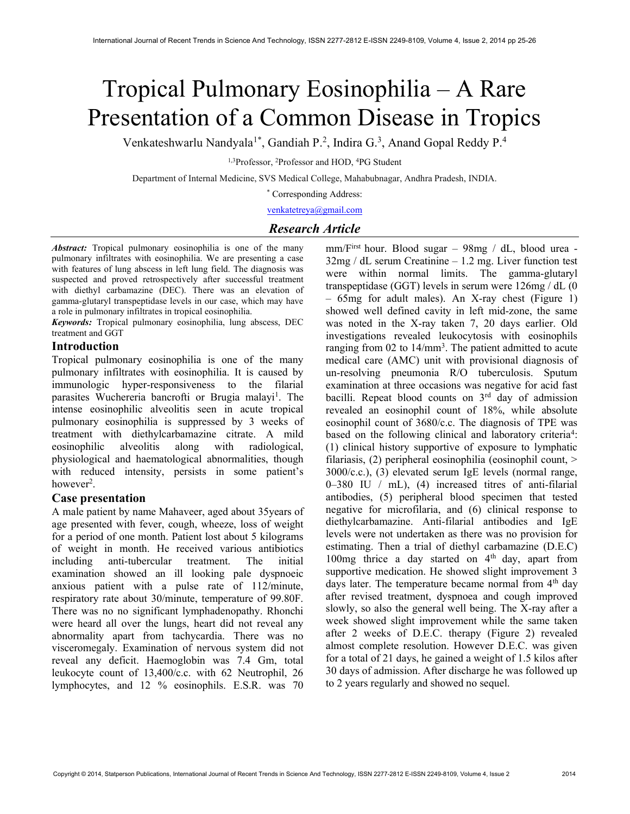# Tropical Pulmonary Eosinophilia – A Rare Presentation of a Common Disease in Tropics

Venkateshwarlu Nandyala<sup>1\*</sup>, Gandiah P.<sup>2</sup>, Indira G.<sup>3</sup>, Anand Gopal Reddy P.<sup>4</sup>

<sup>1,3</sup>Professor, <sup>2</sup>Professor and HOD, <sup>4</sup>PG Student

Department of Internal Medicine, SVS Medical College, Mahabubnagar, Andhra Pradesh, INDIA.

\* Corresponding Address:

venkatetreya@gmail.com

# Research Article

Abstract: Tropical pulmonary eosinophilia is one of the many pulmonary infiltrates with eosinophilia. We are presenting a case with features of lung abscess in left lung field. The diagnosis was suspected and proved retrospectively after successful treatment with diethyl carbamazine (DEC). There was an elevation of gamma-glutaryl transpeptidase levels in our case, which may have a role in pulmonary infiltrates in tropical eosinophilia.

Keywords: Tropical pulmonary eosinophilia, lung abscess, DEC treatment and GGT

# Introduction

Tropical pulmonary eosinophilia is one of the many pulmonary infiltrates with eosinophilia. It is caused by immunologic hyper-responsiveness to the filarial parasites Wuchereria bancrofti or Brugia malayi<sup>1</sup>. The intense eosinophilic alveolitis seen in acute tropical pulmonary eosinophilia is suppressed by 3 weeks of treatment with diethylcarbamazine citrate. A mild eosinophilic alveolitis along with radiological, physiological and haematological abnormalities, though with reduced intensity, persists in some patient's however<sup>2</sup>.

# Case presentation

A male patient by name Mahaveer, aged about 35years of age presented with fever, cough, wheeze, loss of weight for a period of one month. Patient lost about 5 kilograms of weight in month. He received various antibiotics including anti-tubercular treatment. The initial examination showed an ill looking pale dyspnoeic anxious patient with a pulse rate of 112/minute, respiratory rate about 30/minute, temperature of 99.80F. There was no no significant lymphadenopathy. Rhonchi were heard all over the lungs, heart did not reveal any abnormality apart from tachycardia. There was no visceromegaly. Examination of nervous system did not reveal any deficit. Haemoglobin was 7.4 Gm, total leukocyte count of 13,400/c.c. with 62 Neutrophil, 26 lymphocytes, and 12 % eosinophils. E.S.R. was 70

mm/First hour. Blood sugar – 98mg / dL, blood urea - 32mg / dL serum Creatinine – 1.2 mg. Liver function test were within normal limits. The gamma-glutaryl transpeptidase (GGT) levels in serum were 126mg / dL (0 – 65mg for adult males). An X-ray chest (Figure 1) showed well defined cavity in left mid-zone, the same was noted in the X-ray taken 7, 20 days earlier. Old investigations revealed leukocytosis with eosinophils ranging from 02 to 14/mm<sup>3</sup>. The patient admitted to acute medical care (AMC) unit with provisional diagnosis of un-resolving pneumonia R/O tuberculosis. Sputum examination at three occasions was negative for acid fast bacilli. Repeat blood counts on 3rd day of admission revealed an eosinophil count of 18%, while absolute eosinophil count of 3680/c.c. The diagnosis of TPE was based on the following clinical and laboratory criteria<sup>4</sup>: (1) clinical history supportive of exposure to lymphatic filariasis, (2) peripheral eosinophilia (eosinophil count, > 3000/c.c.), (3) elevated serum IgE levels (normal range, 0–380 IU / mL), (4) increased titres of anti-filarial antibodies, (5) peripheral blood specimen that tested negative for microfilaria, and (6) clinical response to diethylcarbamazine. Anti-filarial antibodies and IgE levels were not undertaken as there was no provision for estimating. Then a trial of diethyl carbamazine (D.E.C) 100mg thrice a day started on  $4<sup>th</sup>$  day, apart from supportive medication. He showed slight improvement 3 days later. The temperature became normal from  $4<sup>th</sup>$  day after revised treatment, dyspnoea and cough improved slowly, so also the general well being. The X-ray after a week showed slight improvement while the same taken after 2 weeks of D.E.C. therapy (Figure 2) revealed almost complete resolution. However D.E.C. was given for a total of 21 days, he gained a weight of 1.5 kilos after 30 days of admission. After discharge he was followed up to 2 years regularly and showed no sequel.